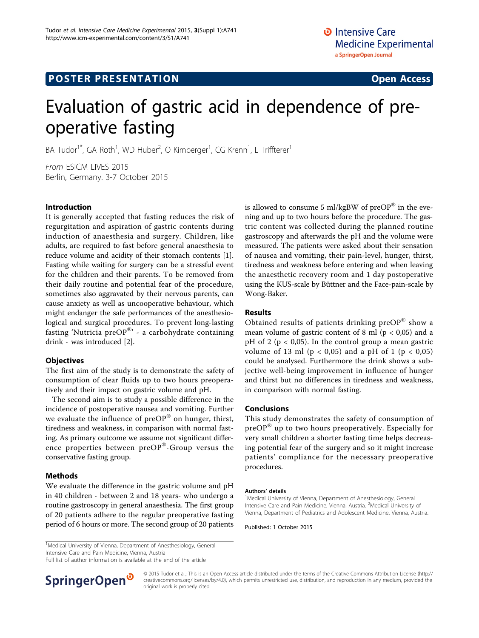# Evaluation of gastric acid in dependence of preoperative fasting

BA Tudor<sup>1\*</sup>, GA Roth<sup>1</sup>, WD Huber<sup>2</sup>, O Kimberger<sup>1</sup>, CG Krenn<sup>1</sup>, L Triffterer<sup>1</sup>

From ESICM LIVES 2015 Berlin, Germany. 3-7 October 2015

#### Introduction

It is generally accepted that fasting reduces the risk of regurgitation and aspiration of gastric contents during induction of anaesthesia and surgery. Children, like adults, are required to fast before general anaesthesia to reduce volume and acidity of their stomach contents [\[1](#page-1-0)]. Fasting while waiting for surgery can be a stressful event for the children and their parents. To be removed from their daily routine and potential fear of the procedure, sometimes also aggravated by their nervous parents, can cause anxiety as well as uncooperative behaviour, which might endanger the safe performances of the anesthesiological and surgical procedures. To prevent long-lasting fasting 'Nutricia pre $OP^{\otimes r}$  - a carbohydrate containing drink - was introduced [\[2](#page-1-0)].

#### **Objectives**

The first aim of the study is to demonstrate the safety of consumption of clear fluids up to two hours preoperatively and their impact on gastric volume and pH.

The second aim is to study a possible difference in the incidence of postoperative nausea and vomiting. Further we evaluate the influence of  $preOP^{\otimes}$  on hunger, thirst, tiredness and weakness, in comparison with normal fasting. As primary outcome we assume not significant difference properties between preOP®-Group versus the conservative fasting group.

### Methods

We evaluate the difference in the gastric volume and pH in 40 children - between 2 and 18 years- who undergo a routine gastroscopy in general anaesthesia. The first group of 20 patients adhere to the regular preoperative fasting period of 6 hours or more. The second group of 20 patients is allowed to consume 5 ml/kgBW of  $preOP^{\circledR}$  in the evening and up to two hours before the procedure. The gastric content was collected during the planned routine gastroscopy and afterwards the pH and the volume were measured. The patients were asked about their sensation of nausea and vomiting, their pain-level, hunger, thirst, tiredness and weakness before entering and when leaving the anaesthetic recovery room and 1 day postoperative using the KUS-scale by Büttner and the Face-pain-scale by Wong-Baker.

#### Results

Obtained results of patients drinking  $preOP^{\circledR}$  show a mean volume of gastric content of 8 ml ( $p < 0.05$ ) and a pH of 2 ( $p < 0.05$ ). In the control group a mean gastric volume of 13 ml ( $p < 0.05$ ) and a pH of 1 ( $p < 0.05$ ) could be analysed. Furthermore the drink shows a subjective well-being improvement in influence of hunger and thirst but no differences in tiredness and weakness, in comparison with normal fasting.

#### Conclusions

This study demonstrates the safety of consumption of  $preOP^{\otimes}$  up to two hours preoperatively. Especially for very small children a shorter fasting time helps decreasing potential fear of the surgery and so it might increase patients' compliance for the necessary preoperative procedures.

#### Authors' details <sup>1</sup>

<sup>1</sup>Medical University of Vienna, Department of Anesthesiology, General Intensive Care and Pain Medicine, Vienna, Austria. <sup>2</sup>Medical University of Vienna, Department of Pediatrics and Adolescent Medicine, Vienna, Austria.

Published: 1 October 2015

<sup>1</sup>Medical University of Vienna, Department of Anesthesiology, General Intensive Care and Pain Medicine, Vienna, Austria

Full list of author information is available at the end of the article



© 2015 Tudor et al.; This is an Open Access article distributed under the terms of the Creative Commons Attribution License [\(http://](http://creativecommons.org/licenses/by/4.0) [creativecommons.org/licenses/by/4.0](http://creativecommons.org/licenses/by/4.0)), which permits unrestricted use, distribution, and reproduction in any medium, provided the original work is properly cited.